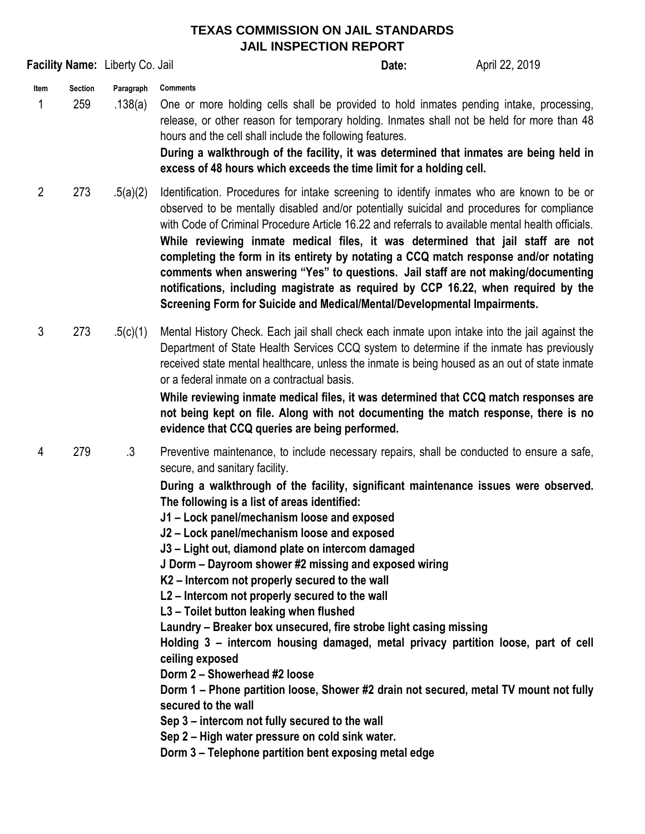## **TEXAS COMMISSION ON JAIL STANDARDS JAIL INSPECTION REPORT**

|                                    |                      | ∟ וועו בערופות ב                                                                                                                                                                                                                                                                                                                                                                                                                                                                                                                                                                                                                                                                                                                                                                                                                                                                                                                                                                                                                                                                                                          |       |                |
|------------------------------------|----------------------|---------------------------------------------------------------------------------------------------------------------------------------------------------------------------------------------------------------------------------------------------------------------------------------------------------------------------------------------------------------------------------------------------------------------------------------------------------------------------------------------------------------------------------------------------------------------------------------------------------------------------------------------------------------------------------------------------------------------------------------------------------------------------------------------------------------------------------------------------------------------------------------------------------------------------------------------------------------------------------------------------------------------------------------------------------------------------------------------------------------------------|-------|----------------|
| Facility Name: Liberty Co. Jail    |                      |                                                                                                                                                                                                                                                                                                                                                                                                                                                                                                                                                                                                                                                                                                                                                                                                                                                                                                                                                                                                                                                                                                                           | Date: | April 22, 2019 |
| <b>Section</b><br>Item<br>1<br>259 | Paragraph<br>.138(a) | <b>Comments</b><br>One or more holding cells shall be provided to hold inmates pending intake, processing,<br>release, or other reason for temporary holding. Inmates shall not be held for more than 48<br>hours and the cell shall include the following features.<br>During a walkthrough of the facility, it was determined that inmates are being held in<br>excess of 48 hours which exceeds the time limit for a holding cell.                                                                                                                                                                                                                                                                                                                                                                                                                                                                                                                                                                                                                                                                                     |       |                |
| $\overline{2}$<br>273              | .5(a)(2)             | Identification. Procedures for intake screening to identify inmates who are known to be or<br>observed to be mentally disabled and/or potentially suicidal and procedures for compliance<br>with Code of Criminal Procedure Article 16.22 and referrals to available mental health officials.<br>While reviewing inmate medical files, it was determined that jail staff are not<br>completing the form in its entirety by notating a CCQ match response and/or notating<br>comments when answering "Yes" to questions. Jail staff are not making/documenting<br>notifications, including magistrate as required by CCP 16.22, when required by the<br>Screening Form for Suicide and Medical/Mental/Developmental Impairments.                                                                                                                                                                                                                                                                                                                                                                                           |       |                |
| 3<br>273                           | .5(c)(1)             | Mental History Check. Each jail shall check each inmate upon intake into the jail against the<br>Department of State Health Services CCQ system to determine if the inmate has previously<br>received state mental healthcare, unless the inmate is being housed as an out of state inmate<br>or a federal inmate on a contractual basis.<br>While reviewing inmate medical files, it was determined that CCQ match responses are<br>not being kept on file. Along with not documenting the match response, there is no<br>evidence that CCQ queries are being performed.                                                                                                                                                                                                                                                                                                                                                                                                                                                                                                                                                 |       |                |
| 279<br>4                           | $\cdot$ 3            | Preventive maintenance, to include necessary repairs, shall be conducted to ensure a safe,<br>secure, and sanitary facility.<br>During a walkthrough of the facility, significant maintenance issues were observed.<br>The following is a list of areas identified:<br>J1 – Lock panel/mechanism loose and exposed<br>J2 - Lock panel/mechanism loose and exposed<br>J3 - Light out, diamond plate on intercom damaged<br>J Dorm - Dayroom shower #2 missing and exposed wiring<br>K2 - Intercom not properly secured to the wall<br>L2 - Intercom not properly secured to the wall<br>L3 - Toilet button leaking when flushed<br>Laundry - Breaker box unsecured, fire strobe light casing missing<br>Holding 3 - intercom housing damaged, metal privacy partition loose, part of cell<br>ceiling exposed<br>Dorm 2 - Showerhead #2 loose<br>Dorm 1 - Phone partition loose, Shower #2 drain not secured, metal TV mount not fully<br>secured to the wall<br>Sep 3 – intercom not fully secured to the wall<br>Sep 2 - High water pressure on cold sink water.<br>Dorm 3 – Telephone partition bent exposing metal edge |       |                |